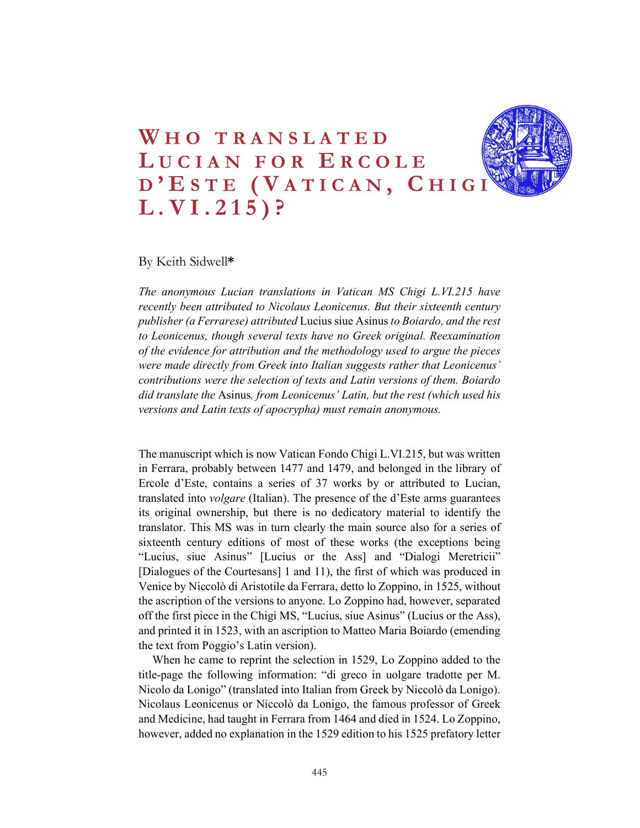# WHO TRANSLATED<br>LUCIAN FOR ERCOLE<br>D'ESTE (VATICAN, CHIGINAL.VI.215)? WHO TRANSLATED<br>LUCIAN FOR ERCOLE<br>D'ESTE (VATICAN, CHIGINAL.VI.215)? WHO TRANSLATED<br>LUCIAN FOR ERCOLE<br>D'ESTE (VATICAN, CHIGINAL.VI.215)? WHO TRANSLATED<br>
LUCIAN FOR ERCOLE<br>
D'ESTE (VATICAN, CHIGIN)<br>
L.VI.215)?<br>
By Keith Sidwell\*<br>
The anonymous Lucian translations in Vatican MS Chivi L.V1215 have

By Keith Sidwell\*

The anonymous Lucian translations in Vatican MS Chigi L.VI.215 have recently been attributed to Nicolaus Leonicenus. But their sixteenth century publisher (a Ferrarese) attributed Lucius siue Asinus to Boiardo, and the rest to Leonicenus, though several texts have no Greek original. Reexamination of the evidence for attribution and the methodology used to argue the pieces were made directly from Greek into Italian suggests rather that Leonicenus' contributions were the selection of texts and Latin versions of them. Boiardo did translate the Asinus, from Leonicenus' Latin, but the rest (which used his versions and Latin texts of apocrypha) must remain anonymous.

The manuscript which is now Vatican Fondo Chigi L.VI.215, but was written in Ferrara, probably between 1477 and 1479, and belonged in the library of Ercole d'Este, contains a series of 37 works by or attributed to Lucian, translated into *volgare* (Italian). The presence of the d'Este arms guarantees its original ownership, but there is no dedicatory material to identify the translator. This MS was in turn clearly the main source also for a series of sixteenth century editions of most of these works (the exceptions being "Lucius, siue Asinus" [Lucius or the Ass] and "Dialogi Meretricii" [Dialogues of the Courtesans] 1 and 11), the first of which was produced in Venice by Niccolò di Aristotile da Ferrara, detto lo Zoppino, in 1525, without the ascription of the versions to anyone. Lo Zoppino had, however, separated off the first piece in the Chigi MS, "Lucius, siue Asinus" (Lucius or the Ass), and printed it in 1523, with an ascription to Matteo Maria Boiardo (emending the text from Poggio's Latin version).

When he came to reprint the selection in 1529, Lo Zoppino added to the title-page the following information: "di greco in uolgare tradotte per M. Nicolo da Lonigo" (translated into Italian from Greek by Niccolò da Lonigo). Nicolaus Leonicenus or Niccolò da Lonigo, the famous professor of Greek and Medicine, had taught in Ferrara from 1464 and died in 1524. Lo Zoppino, however, added no explanation in the 1529 edition to his 1525 prefatory letter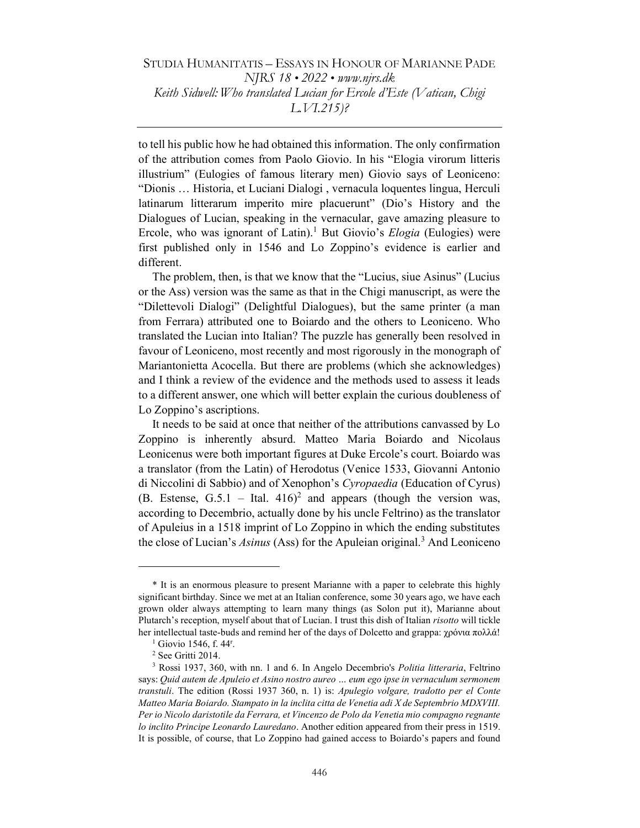to tell his public how he had obtained this information. The only confirmation of the attribution comes from Paolo Giovio. In his "Elogia virorum litteris illustrium" (Eulogies of famous literary men) Giovio says of Leoniceno: "Dionis … Historia, et Luciani Dialogi , vernacula loquentes lingua, Herculi latinarum litterarum imperito mire placuerunt" (Dio's History and the Dialogues of Lucian, speaking in the vernacular, gave amazing pleasure to Ercole, who was ignorant of Latin).<sup>1</sup> But Giovio's *Elogia* (Eulogies) were first published only in 1546 and Lo Zoppino's evidence is earlier and different.

The problem, then, is that we know that the "Lucius, siue Asinus" (Lucius or the Ass) version was the same as that in the Chigi manuscript, as were the "Dilettevoli Dialogi" (Delightful Dialogues), but the same printer (a man from Ferrara) attributed one to Boiardo and the others to Leoniceno. Who translated the Lucian into Italian? The puzzle has generally been resolved in favour of Leoniceno, most recently and most rigorously in the monograph of Mariantonietta Acocella. But there are problems (which she acknowledges) and I think a review of the evidence and the methods used to assess it leads to a different answer, one which will better explain the curious doubleness of Lo Zoppino's ascriptions.

It needs to be said at once that neither of the attributions canvassed by Lo Zoppino is inherently absurd. Matteo Maria Boiardo and Nicolaus Leonicenus were both important figures at Duke Ercole's court. Boiardo was a translator (from the Latin) of Herodotus (Venice 1533, Giovanni Antonio di Niccolini di Sabbio) and of Xenophon's Cyropaedia (Education of Cyrus) (B. Estense, G.5.1 – Ital.  $416$ )<sup>2</sup> and appears (though the version was, according to Decembrio, actually done by his uncle Feltrino) as the translator of Apuleius in a 1518 imprint of Lo Zoppino in which the ending substitutes the close of Lucian's Asinus (Ass) for the Apuleian original.<sup>3</sup> And Leoniceno

<sup>\*</sup> It is an enormous pleasure to present Marianne with a paper to celebrate this highly significant birthday. Since we met at an Italian conference, some 30 years ago, we have each grown older always attempting to learn many things (as Solon put it), Marianne about Plutarch's reception, myself about that of Lucian. I trust this dish of Italian risotto will tickle her intellectual taste-buds and remind her of the days of Dolcetto and grappa: χρόνια πολλά!

 $<sup>1</sup>$  Giovio 1546, f. 44<sup>r</sup>.</sup>

<sup>2</sup> See Gritti 2014.

<sup>&</sup>lt;sup>3</sup> Rossi 1937, 360, with nn. 1 and 6. In Angelo Decembrio's *Politia litteraria*, Feltrino says: Quid autem de Apuleio et Asino nostro aureo … eum ego ipse in vernaculum sermonem transtuli. The edition (Rossi 1937 360, n. 1) is: Apulegio volgare, tradotto per el Conte Matteo Maria Boiardo. Stampato in la inclita citta de Venetia adi X de Septembrio MDXVIII. Per io Nicolo daristotile da Ferrara, et Vincenzo de Polo da Venetia mio compagno regnante lo inclito Principe Leonardo Lauredano. Another edition appeared from their press in 1519. It is possible, of course, that Lo Zoppino had gained access to Boiardo's papers and found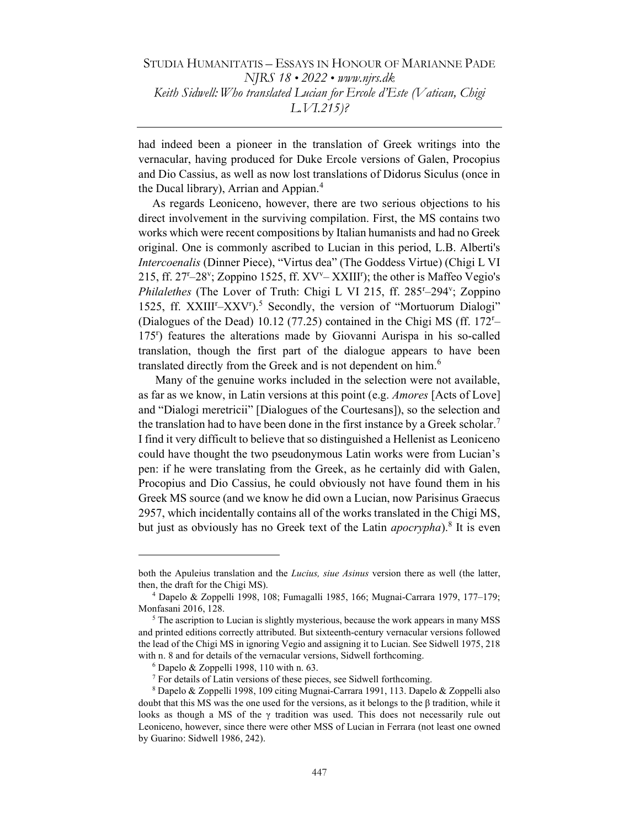had indeed been a pioneer in the translation of Greek writings into the vernacular, having produced for Duke Ercole versions of Galen, Procopius and Dio Cassius, as well as now lost translations of Didorus Siculus (once in the Ducal library), Arrian and Appian.<sup>4</sup>

As regards Leoniceno, however, there are two serious objections to his direct involvement in the surviving compilation. First, the MS contains two works which were recent compositions by Italian humanists and had no Greek original. One is commonly ascribed to Lucian in this period, L.B. Alberti's Intercoenalis (Dinner Piece), "Virtus dea" (The Goddess Virtue) (Chigi L VI 215, ff. 27<sup>r</sup>–28<sup>v</sup> ; Zoppino 1525, ff. XV<sup>v</sup>– XXIII<sup>r</sup> ); the other is Maffeo Vegio's Philalethes (The Lover of Truth: Chigi L VI 215, ff. 285<sup>r</sup>-294<sup>v</sup>; Zoppino 1525, ff. XXIII<sup>r</sup>-XXV<sup>r</sup>).<sup>5</sup> Secondly, the version of "Mortuorum Dialogi" (Dialogues of the Dead) 10.12 (77.25) contained in the Chigi MS (ff. 172<sup>r</sup>– 175<sup>r</sup> ) features the alterations made by Giovanni Aurispa in his so-called translation, though the first part of the dialogue appears to have been translated directly from the Greek and is not dependent on him.<sup>6</sup>

 Many of the genuine works included in the selection were not available, as far as we know, in Latin versions at this point (e.g. Amores [Acts of Love] and "Dialogi meretricii" [Dialogues of the Courtesans]), so the selection and the translation had to have been done in the first instance by a Greek scholar.<sup>7</sup> I find it very difficult to believe that so distinguished a Hellenist as Leoniceno could have thought the two pseudonymous Latin works were from Lucian's pen: if he were translating from the Greek, as he certainly did with Galen, Procopius and Dio Cassius, he could obviously not have found them in his Greek MS source (and we know he did own a Lucian, now Parisinus Graecus 2957, which incidentally contains all of the works translated in the Chigi MS, but just as obviously has no Greek text of the Latin *apocrypha*).<sup>8</sup> It is even

both the Apuleius translation and the *Lucius, siue Asinus* version there as well (the latter, then, the draft for the Chigi MS).

<sup>4</sup> Dapelo & Zoppelli 1998, 108; Fumagalli 1985, 166; Mugnai-Carrara 1979, 177–179; Monfasani 2016, 128.

<sup>&</sup>lt;sup>5</sup> The ascription to Lucian is slightly mysterious, because the work appears in many MSS and printed editions correctly attributed. But sixteenth-century vernacular versions followed the lead of the Chigi MS in ignoring Vegio and assigning it to Lucian. See Sidwell 1975, 218 with n. 8 and for details of the vernacular versions, Sidwell forthcoming.

 $6$  Dapelo & Zoppelli 1998, 110 with n. 63.

<sup>&</sup>lt;sup>7</sup> For details of Latin versions of these pieces, see Sidwell forthcoming.

<sup>8</sup> Dapelo & Zoppelli 1998, 109 citing Mugnai-Carrara 1991, 113. Dapelo & Zoppelli also doubt that this MS was the one used for the versions, as it belongs to the β tradition, while it looks as though a MS of the γ tradition was used. This does not necessarily rule out Leoniceno, however, since there were other MSS of Lucian in Ferrara (not least one owned by Guarino: Sidwell 1986, 242).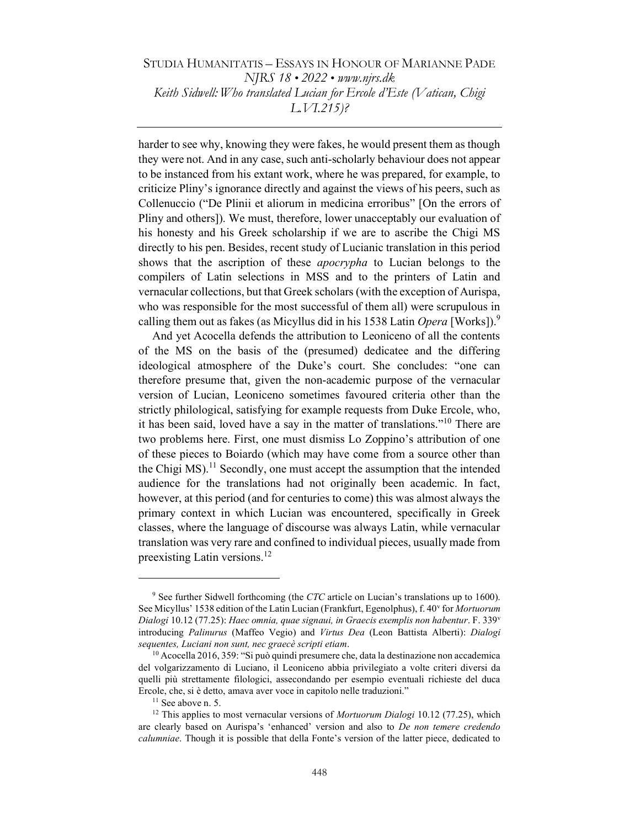harder to see why, knowing they were fakes, he would present them as though they were not. And in any case, such anti-scholarly behaviour does not appear to be instanced from his extant work, where he was prepared, for example, to criticize Pliny's ignorance directly and against the views of his peers, such as Collenuccio ("De Plinii et aliorum in medicina erroribus" [On the errors of Pliny and others]). We must, therefore, lower unacceptably our evaluation of his honesty and his Greek scholarship if we are to ascribe the Chigi MS directly to his pen. Besides, recent study of Lucianic translation in this period shows that the ascription of these *apocrypha* to Lucian belongs to the compilers of Latin selections in MSS and to the printers of Latin and vernacular collections, but that Greek scholars (with the exception of Aurispa, who was responsible for the most successful of them all) were scrupulous in calling them out as fakes (as Micyllus did in his 1538 Latin *Opera* [Works]).<sup>9</sup>

And yet Acocella defends the attribution to Leoniceno of all the contents of the MS on the basis of the (presumed) dedicatee and the differing ideological atmosphere of the Duke's court. She concludes: "one can therefore presume that, given the non-academic purpose of the vernacular version of Lucian, Leoniceno sometimes favoured criteria other than the strictly philological, satisfying for example requests from Duke Ercole, who, it has been said, loved have a say in the matter of translations."<sup>10</sup> There are two problems here. First, one must dismiss Lo Zoppino's attribution of one of these pieces to Boiardo (which may have come from a source other than the Chigi  $MS$ <sup>11</sup> Secondly, one must accept the assumption that the intended audience for the translations had not originally been academic. In fact, however, at this period (and for centuries to come) this was almost always the primary context in which Lucian was encountered, specifically in Greek classes, where the language of discourse was always Latin, while vernacular translation was very rare and confined to individual pieces, usually made from preexisting Latin versions.<sup>12</sup>

<sup>&</sup>lt;sup>9</sup> See further Sidwell forthcoming (the *CTC* article on Lucian's translations up to 1600). See Micyllus' 1538 edition of the Latin Lucian (Frankfurt, Egenolphus), f. 40<sup>v</sup> for Mortuorum Dialogi 10.12 (77.25): Haec omnia, quae signaui, in Graecis exemplis non habentur. F. 339<sup>v</sup> introducing Palinurus (Maffeo Vegio) and Virtus Dea (Leon Battista Alberti): Dialogi sequentes, Luciani non sunt, nec graecè scripti etiam.

<sup>&</sup>lt;sup>10</sup> Acocella 2016, 359: "Si può quindi presumere che, data la destinazione non accademica del volgarizzamento di Luciano, il Leoniceno abbia privilegiato a volte criteri diversi da quelli più strettamente filologici, assecondando per esempio eventuali richieste del duca Ercole, che, si è detto, amava aver voce in capitolo nelle traduzioni."

<sup>&</sup>lt;sup>11</sup> See above n. 5.

 $12$  This applies to most vernacular versions of *Mortuorum Dialogi* 10.12 (77.25), which are clearly based on Aurispa's 'enhanced' version and also to De non temere credendo calumniae. Though it is possible that della Fonte's version of the latter piece, dedicated to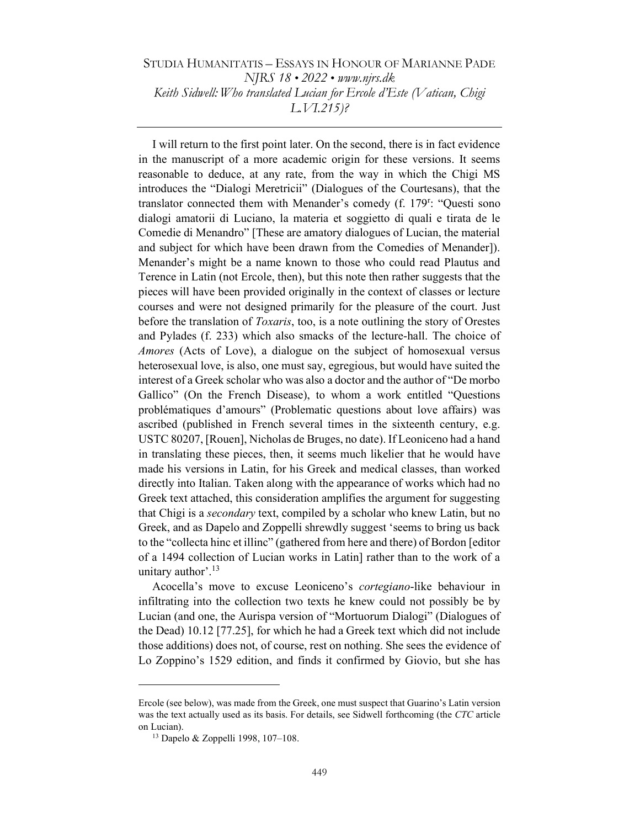I will return to the first point later. On the second, there is in fact evidence in the manuscript of a more academic origin for these versions. It seems reasonable to deduce, at any rate, from the way in which the Chigi MS introduces the "Dialogi Meretricii" (Dialogues of the Courtesans), that the translator connected them with Menander's comedy (f. 179<sup>r</sup>: "Questi sono dialogi amatorii di Luciano, la materia et soggietto di quali e tirata de le Comedie di Menandro" [These are amatory dialogues of Lucian, the material and subject for which have been drawn from the Comedies of Menander]). Menander's might be a name known to those who could read Plautus and Terence in Latin (not Ercole, then), but this note then rather suggests that the pieces will have been provided originally in the context of classes or lecture courses and were not designed primarily for the pleasure of the court. Just before the translation of *Toxaris*, too, is a note outlining the story of Orestes and Pylades (f. 233) which also smacks of the lecture-hall. The choice of Amores (Acts of Love), a dialogue on the subject of homosexual versus heterosexual love, is also, one must say, egregious, but would have suited the interest of a Greek scholar who was also a doctor and the author of "De morbo Gallico" (On the French Disease), to whom a work entitled "Questions problématiques d'amours" (Problematic questions about love affairs) was ascribed (published in French several times in the sixteenth century, e.g. USTC 80207, [Rouen], Nicholas de Bruges, no date). If Leoniceno had a hand in translating these pieces, then, it seems much likelier that he would have made his versions in Latin, for his Greek and medical classes, than worked directly into Italian. Taken along with the appearance of works which had no Greek text attached, this consideration amplifies the argument for suggesting that Chigi is a *secondary* text, compiled by a scholar who knew Latin, but no Greek, and as Dapelo and Zoppelli shrewdly suggest 'seems to bring us back to the "collecta hinc et illinc" (gathered from here and there) of Bordon [editor of a 1494 collection of Lucian works in Latin] rather than to the work of a unitary author'.<sup>13</sup>

Acocella's move to excuse Leoniceno's cortegiano-like behaviour in infiltrating into the collection two texts he knew could not possibly be by Lucian (and one, the Aurispa version of "Mortuorum Dialogi" (Dialogues of the Dead) 10.12 [77.25], for which he had a Greek text which did not include those additions) does not, of course, rest on nothing. She sees the evidence of Lo Zoppino's 1529 edition, and finds it confirmed by Giovio, but she has

Ercole (see below), was made from the Greek, one must suspect that Guarino's Latin version was the text actually used as its basis. For details, see Sidwell forthcoming (the CTC article on Lucian).

<sup>&</sup>lt;sup>13</sup> Dapelo & Zoppelli 1998, 107-108.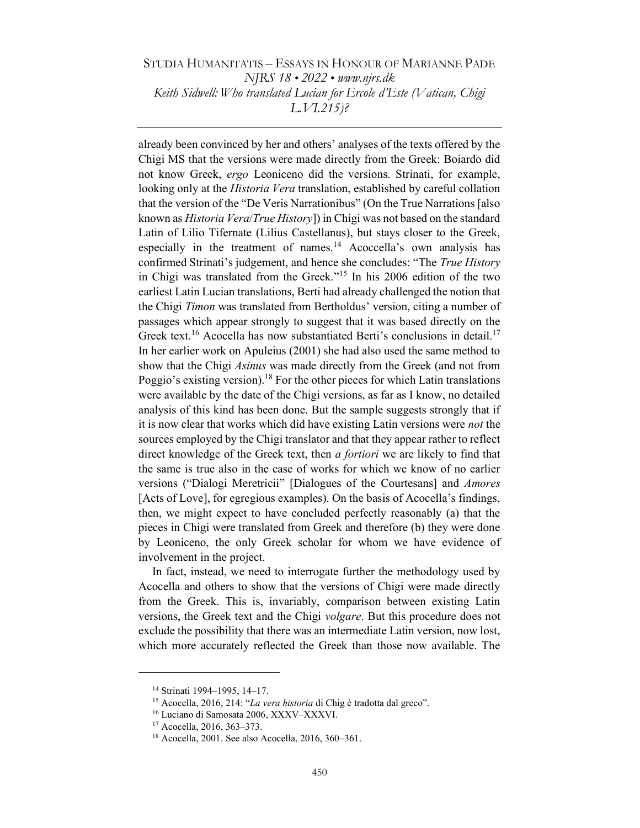already been convinced by her and others' analyses of the texts offered by the Chigi MS that the versions were made directly from the Greek: Boiardo did not know Greek, ergo Leoniceno did the versions. Strinati, for example, looking only at the *Historia Vera* translation, established by careful collation that the version of the "De Veris Narrationibus" (On the True Narrations [also known as *Historia Vera/True History*]) in Chigi was not based on the standard Latin of Lilio Tifernate (Lilius Castellanus), but stays closer to the Greek, especially in the treatment of names.<sup>14</sup> Acoccella's own analysis has confirmed Strinati's judgement, and hence she concludes: "The True History in Chigi was translated from the Greek."<sup>15</sup> In his 2006 edition of the two earliest Latin Lucian translations, Berti had already challenged the notion that the Chigi Timon was translated from Bertholdus' version, citing a number of passages which appear strongly to suggest that it was based directly on the Greek text.<sup>16</sup> Acocella has now substantiated Berti's conclusions in detail.<sup>17</sup> In her earlier work on Apuleius (2001) she had also used the same method to show that the Chigi *Asinus* was made directly from the Greek (and not from Poggio's existing version).<sup>18</sup> For the other pieces for which Latin translations were available by the date of the Chigi versions, as far as I know, no detailed analysis of this kind has been done. But the sample suggests strongly that if it is now clear that works which did have existing Latin versions were *not* the sources employed by the Chigi translator and that they appear rather to reflect direct knowledge of the Greek text, then a fortiori we are likely to find that the same is true also in the case of works for which we know of no earlier versions ("Dialogi Meretricii" [Dialogues of the Courtesans] and Amores [Acts of Love], for egregious examples). On the basis of Acocella's findings, then, we might expect to have concluded perfectly reasonably (a) that the pieces in Chigi were translated from Greek and therefore (b) they were done by Leoniceno, the only Greek scholar for whom we have evidence of involvement in the project.

In fact, instead, we need to interrogate further the methodology used by Acocella and others to show that the versions of Chigi were made directly from the Greek. This is, invariably, comparison between existing Latin versions, the Greek text and the Chigi *volgare*. But this procedure does not exclude the possibility that there was an intermediate Latin version, now lost, which more accurately reflected the Greek than those now available. The

<sup>14</sup> Strinati 1994–1995, 14–17.

<sup>&</sup>lt;sup>15</sup> Acocella, 2016, 214: "La vera historia di Chig è tradotta dal greco".

<sup>16</sup> Luciano di Samosata 2006, XXXV–XXXVI.

<sup>17</sup> Acocella, 2016, 363–373.

<sup>18</sup> Acocella, 2001. See also Acocella, 2016, 360–361.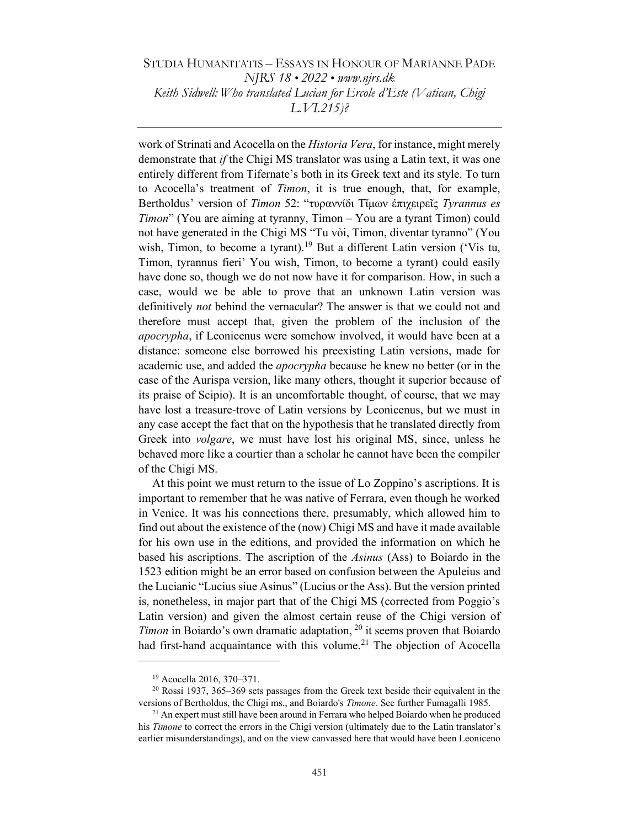work of Strinati and Acocella on the Historia Vera, for instance, might merely demonstrate that *if* the Chigi MS translator was using a Latin text, it was one entirely different from Tifernate's both in its Greek text and its style. To turn to Acocella's treatment of Timon, it is true enough, that, for example, Bertholdus' version of Timon 52: "τυραννίδι Τίμων έπιχειρεῖς Tyrannus es Timon" (You are aiming at tyranny, Timon – You are a tyrant Timon) could not have generated in the Chigi MS "Tu vòi, Timon, diventar tyranno" (You wish, Timon, to become a tyrant).<sup>19</sup> But a different Latin version ('Vis tu, Timon, tyrannus fieri' You wish, Timon, to become a tyrant) could easily have done so, though we do not now have it for comparison. How, in such a case, would we be able to prove that an unknown Latin version was definitively not behind the vernacular? The answer is that we could not and therefore must accept that, given the problem of the inclusion of the apocrypha, if Leonicenus were somehow involved, it would have been at a distance: someone else borrowed his preexisting Latin versions, made for academic use, and added the *apocrypha* because he knew no better (or in the case of the Aurispa version, like many others, thought it superior because of its praise of Scipio). It is an uncomfortable thought, of course, that we may have lost a treasure-trove of Latin versions by Leonicenus, but we must in any case accept the fact that on the hypothesis that he translated directly from Greek into *volgare*, we must have lost his original MS, since, unless he behaved more like a courtier than a scholar he cannot have been the compiler of the Chigi MS.

At this point we must return to the issue of Lo Zoppino's ascriptions. It is important to remember that he was native of Ferrara, even though he worked in Venice. It was his connections there, presumably, which allowed him to find out about the existence of the (now) Chigi MS and have it made available for his own use in the editions, and provided the information on which he based his ascriptions. The ascription of the Asinus (Ass) to Boiardo in the 1523 edition might be an error based on confusion between the Apuleius and the Lucianic "Lucius siue Asinus" (Lucius or the Ass). But the version printed is, nonetheless, in major part that of the Chigi MS (corrected from Poggio's Latin version) and given the almost certain reuse of the Chigi version of *Timon* in Boiardo's own dramatic adaptation,  $^{20}$  it seems proven that Boiardo had first-hand acquaintance with this volume.<sup>21</sup> The objection of Acocella

<sup>19</sup> Acocella 2016, 370–371.

 $20$  Rossi 1937, 365–369 sets passages from the Greek text beside their equivalent in the versions of Bertholdus, the Chigi ms., and Boiardo's Timone. See further Fumagalli 1985.

 $21$  An expert must still have been around in Ferrara who helped Boiardo when he produced his Timone to correct the errors in the Chigi version (ultimately due to the Latin translator's earlier misunderstandings), and on the view canvassed here that would have been Leoniceno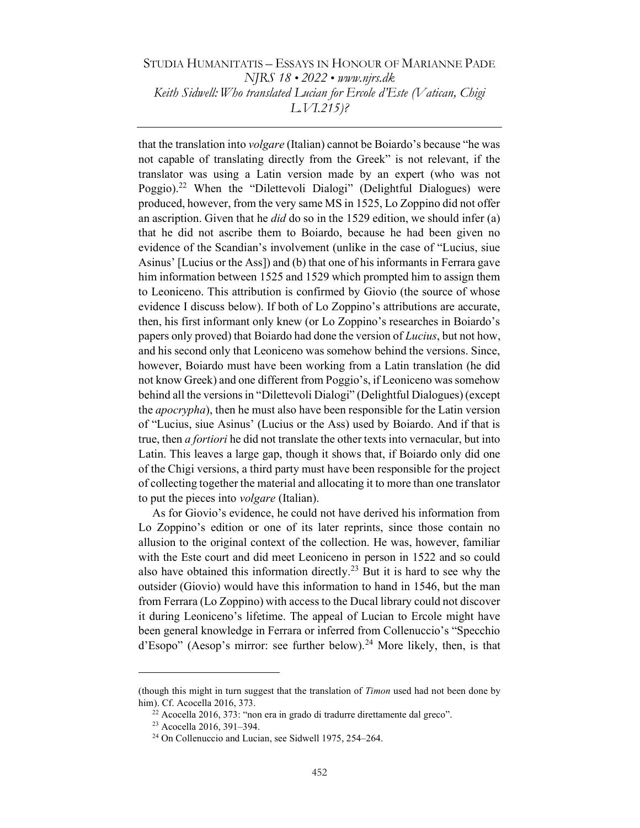that the translation into volgare (Italian) cannot be Boiardo's because "he was not capable of translating directly from the Greek" is not relevant, if the translator was using a Latin version made by an expert (who was not Poggio).<sup>22</sup> When the "Dilettevoli Dialogi" (Delightful Dialogues) were produced, however, from the very same MS in 1525, Lo Zoppino did not offer an ascription. Given that he  $did$  do so in the 1529 edition, we should infer (a) that he did not ascribe them to Boiardo, because he had been given no evidence of the Scandian's involvement (unlike in the case of "Lucius, siue Asinus' [Lucius or the Ass]) and (b) that one of his informants in Ferrara gave him information between 1525 and 1529 which prompted him to assign them to Leoniceno. This attribution is confirmed by Giovio (the source of whose evidence I discuss below). If both of Lo Zoppino's attributions are accurate, then, his first informant only knew (or Lo Zoppino's researches in Boiardo's papers only proved) that Boiardo had done the version of *Lucius*, but not how, and his second only that Leoniceno was somehow behind the versions. Since, however, Boiardo must have been working from a Latin translation (he did not know Greek) and one different from Poggio's, if Leoniceno was somehow behind all the versions in "Dilettevoli Dialogi" (Delightful Dialogues) (except the apocrypha), then he must also have been responsible for the Latin version of "Lucius, siue Asinus' (Lucius or the Ass) used by Boiardo. And if that is true, then a fortiori he did not translate the other texts into vernacular, but into Latin. This leaves a large gap, though it shows that, if Boiardo only did one of the Chigi versions, a third party must have been responsible for the project of collecting together the material and allocating it to more than one translator to put the pieces into volgare (Italian).

As for Giovio's evidence, he could not have derived his information from Lo Zoppino's edition or one of its later reprints, since those contain no allusion to the original context of the collection. He was, however, familiar with the Este court and did meet Leoniceno in person in 1522 and so could also have obtained this information directly.<sup>23</sup> But it is hard to see why the outsider (Giovio) would have this information to hand in 1546, but the man from Ferrara (Lo Zoppino) with access to the Ducal library could not discover it during Leoniceno's lifetime. The appeal of Lucian to Ercole might have been general knowledge in Ferrara or inferred from Collenuccio's "Specchio d'Esopo" (Aesop's mirror: see further below).<sup>24</sup> More likely, then, is that

<sup>(</sup>though this might in turn suggest that the translation of *Timon* used had not been done by him). Cf. Acocella 2016, 373.

<sup>22</sup> Acocella 2016, 373: "non era in grado di tradurre direttamente dal greco".

<sup>23</sup> Acocella 2016, 391–394.

<sup>24</sup> On Collenuccio and Lucian, see Sidwell 1975, 254–264.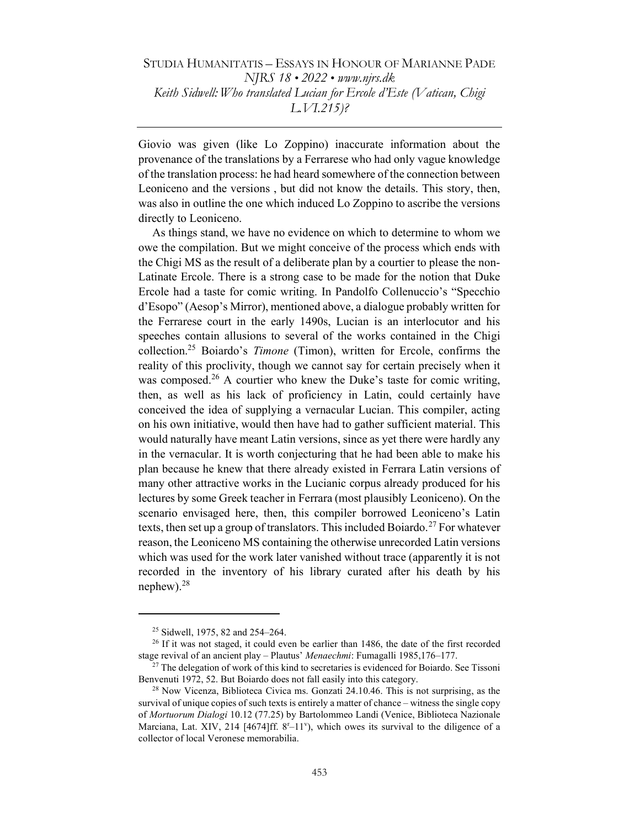Giovio was given (like Lo Zoppino) inaccurate information about the provenance of the translations by a Ferrarese who had only vague knowledge of the translation process: he had heard somewhere of the connection between Leoniceno and the versions , but did not know the details. This story, then, was also in outline the one which induced Lo Zoppino to ascribe the versions directly to Leoniceno.

As things stand, we have no evidence on which to determine to whom we owe the compilation. But we might conceive of the process which ends with the Chigi MS as the result of a deliberate plan by a courtier to please the non-Latinate Ercole. There is a strong case to be made for the notion that Duke Ercole had a taste for comic writing. In Pandolfo Collenuccio's "Specchio d'Esopo" (Aesop's Mirror), mentioned above, a dialogue probably written for the Ferrarese court in the early 1490s, Lucian is an interlocutor and his speeches contain allusions to several of the works contained in the Chigi collection.<sup>25</sup> Boiardo's *Timone* (Timon), written for Ercole, confirms the reality of this proclivity, though we cannot say for certain precisely when it was composed.<sup>26</sup> A courtier who knew the Duke's taste for comic writing, then, as well as his lack of proficiency in Latin, could certainly have conceived the idea of supplying a vernacular Lucian. This compiler, acting on his own initiative, would then have had to gather sufficient material. This would naturally have meant Latin versions, since as yet there were hardly any in the vernacular. It is worth conjecturing that he had been able to make his plan because he knew that there already existed in Ferrara Latin versions of many other attractive works in the Lucianic corpus already produced for his lectures by some Greek teacher in Ferrara (most plausibly Leoniceno). On the scenario envisaged here, then, this compiler borrowed Leoniceno's Latin texts, then set up a group of translators. This included Boiardo.<sup>27</sup> For whatever reason, the Leoniceno MS containing the otherwise unrecorded Latin versions which was used for the work later vanished without trace (apparently it is not recorded in the inventory of his library curated after his death by his nephew). $^{28}$ 

<sup>&</sup>lt;sup>25</sup> Sidwell, 1975, 82 and 254–264.

 $26$  If it was not staged, it could even be earlier than 1486, the date of the first recorded stage revival of an ancient play – Plautus' Menaechmi: Fumagalli 1985,176–177.

 $27$  The delegation of work of this kind to secretaries is evidenced for Boiardo. See Tissoni Benvenuti 1972, 52. But Boiardo does not fall easily into this category.

<sup>&</sup>lt;sup>28</sup> Now Vicenza, Biblioteca Civica ms. Gonzati 24.10.46. This is not surprising, as the survival of unique copies of such texts is entirely a matter of chance – witness the single copy of Mortuorum Dialogi 10.12 (77.25) by Bartolommeo Landi (Venice, Biblioteca Nazionale Marciana, Lat. XIV, 214 [4674]ff. 8<sup>r</sup>-11'), which owes its survival to the diligence of a collector of local Veronese memorabilia.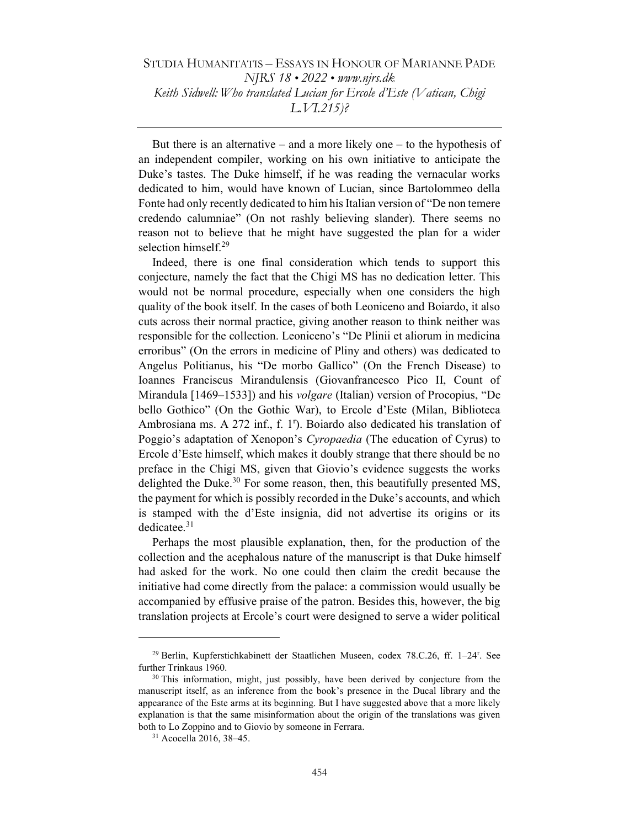But there is an alternative – and a more likely one – to the hypothesis of an independent compiler, working on his own initiative to anticipate the Duke's tastes. The Duke himself, if he was reading the vernacular works dedicated to him, would have known of Lucian, since Bartolommeo della Fonte had only recently dedicated to him his Italian version of "De non temere credendo calumniae" (On not rashly believing slander). There seems no reason not to believe that he might have suggested the plan for a wider selection himself.<sup>29</sup>

Indeed, there is one final consideration which tends to support this conjecture, namely the fact that the Chigi MS has no dedication letter. This would not be normal procedure, especially when one considers the high quality of the book itself. In the cases of both Leoniceno and Boiardo, it also cuts across their normal practice, giving another reason to think neither was responsible for the collection. Leoniceno's "De Plinii et aliorum in medicina erroribus" (On the errors in medicine of Pliny and others) was dedicated to Angelus Politianus, his "De morbo Gallico" (On the French Disease) to Ioannes Franciscus Mirandulensis (Giovanfrancesco Pico II, Count of Mirandula [1469–1533]) and his *volgare* (Italian) version of Procopius, "De bello Gothico" (On the Gothic War), to Ercole d'Este (Milan, Biblioteca Ambrosiana ms. A 272 inf., f. 1<sup>r</sup>). Boiardo also dedicated his translation of Poggio's adaptation of Xenopon's Cyropaedia (The education of Cyrus) to Ercole d'Este himself, which makes it doubly strange that there should be no preface in the Chigi MS, given that Giovio's evidence suggests the works delighted the Duke.<sup>30</sup> For some reason, then, this beautifully presented MS, the payment for which is possibly recorded in the Duke's accounts, and which is stamped with the d'Este insignia, did not advertise its origins or its dedicatee.<sup>31</sup>

Perhaps the most plausible explanation, then, for the production of the collection and the acephalous nature of the manuscript is that Duke himself had asked for the work. No one could then claim the credit because the initiative had come directly from the palace: a commission would usually be accompanied by effusive praise of the patron. Besides this, however, the big translation projects at Ercole's court were designed to serve a wider political

<sup>29</sup> Berlin, Kupferstichkabinett der Staatlichen Museen, codex 78.C.26, ff. 1–24<sup>r</sup> . See further Trinkaus 1960.

 $30$  This information, might, just possibly, have been derived by conjecture from the manuscript itself, as an inference from the book's presence in the Ducal library and the appearance of the Este arms at its beginning. But I have suggested above that a more likely explanation is that the same misinformation about the origin of the translations was given both to Lo Zoppino and to Giovio by someone in Ferrara.

<sup>31</sup> Acocella 2016, 38–45.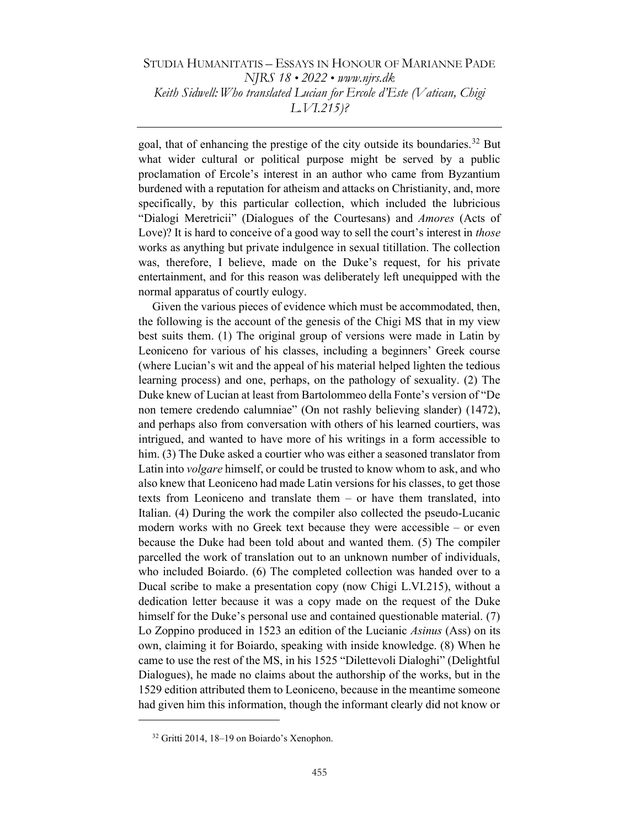goal, that of enhancing the prestige of the city outside its boundaries.<sup>32</sup> But what wider cultural or political purpose might be served by a public proclamation of Ercole's interest in an author who came from Byzantium burdened with a reputation for atheism and attacks on Christianity, and, more specifically, by this particular collection, which included the lubricious "Dialogi Meretricii" (Dialogues of the Courtesans) and Amores (Acts of Love)? It is hard to conceive of a good way to sell the court's interest in *those* works as anything but private indulgence in sexual titillation. The collection was, therefore, I believe, made on the Duke's request, for his private entertainment, and for this reason was deliberately left unequipped with the normal apparatus of courtly eulogy.

Given the various pieces of evidence which must be accommodated, then, the following is the account of the genesis of the Chigi MS that in my view best suits them. (1) The original group of versions were made in Latin by Leoniceno for various of his classes, including a beginners' Greek course (where Lucian's wit and the appeal of his material helped lighten the tedious learning process) and one, perhaps, on the pathology of sexuality. (2) The Duke knew of Lucian at least from Bartolommeo della Fonte's version of "De non temere credendo calumniae" (On not rashly believing slander) (1472), and perhaps also from conversation with others of his learned courtiers, was intrigued, and wanted to have more of his writings in a form accessible to him. (3) The Duke asked a courtier who was either a seasoned translator from Latin into *volgare* himself, or could be trusted to know whom to ask, and who also knew that Leoniceno had made Latin versions for his classes, to get those texts from Leoniceno and translate them – or have them translated, into Italian. (4) During the work the compiler also collected the pseudo-Lucanic modern works with no Greek text because they were accessible – or even because the Duke had been told about and wanted them. (5) The compiler parcelled the work of translation out to an unknown number of individuals, who included Boiardo. (6) The completed collection was handed over to a Ducal scribe to make a presentation copy (now Chigi L.VI.215), without a dedication letter because it was a copy made on the request of the Duke himself for the Duke's personal use and contained questionable material. (7) Lo Zoppino produced in 1523 an edition of the Lucianic Asinus (Ass) on its own, claiming it for Boiardo, speaking with inside knowledge. (8) When he came to use the rest of the MS, in his 1525 "Dilettevoli Dialoghi" (Delightful Dialogues), he made no claims about the authorship of the works, but in the 1529 edition attributed them to Leoniceno, because in the meantime someone had given him this information, though the informant clearly did not know or

<sup>32</sup> Gritti 2014, 18–19 on Boiardo's Xenophon.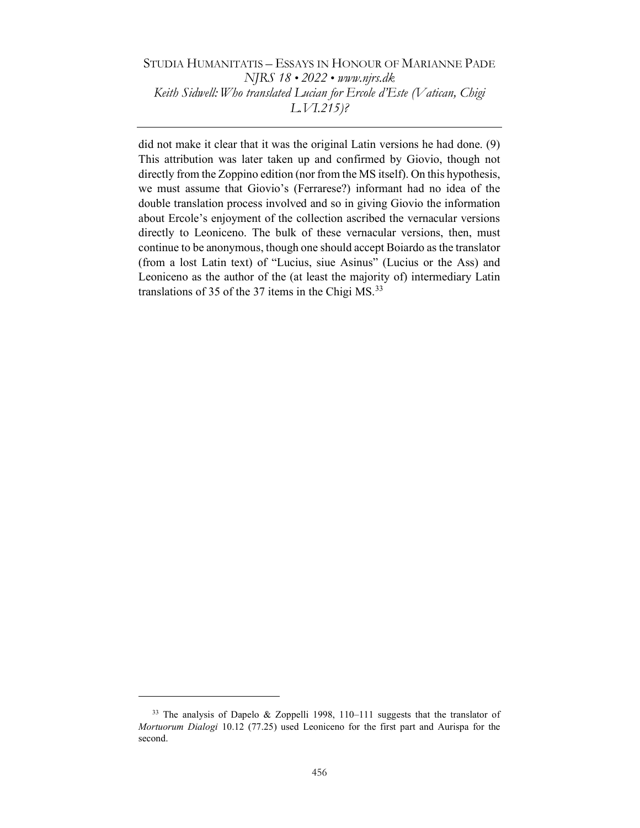did not make it clear that it was the original Latin versions he had done. (9) This attribution was later taken up and confirmed by Giovio, though not directly from the Zoppino edition (nor from the MS itself). On this hypothesis, we must assume that Giovio's (Ferrarese?) informant had no idea of the double translation process involved and so in giving Giovio the information about Ercole's enjoyment of the collection ascribed the vernacular versions directly to Leoniceno. The bulk of these vernacular versions, then, must continue to be anonymous, though one should accept Boiardo as the translator (from a lost Latin text) of "Lucius, siue Asinus" (Lucius or the Ass) and Leoniceno as the author of the (at least the majority of) intermediary Latin translations of 35 of the 37 items in the Chigi MS.<sup>33</sup>

<sup>33</sup> The analysis of Dapelo & Zoppelli 1998, 110–111 suggests that the translator of Mortuorum Dialogi 10.12 (77.25) used Leoniceno for the first part and Aurispa for the second.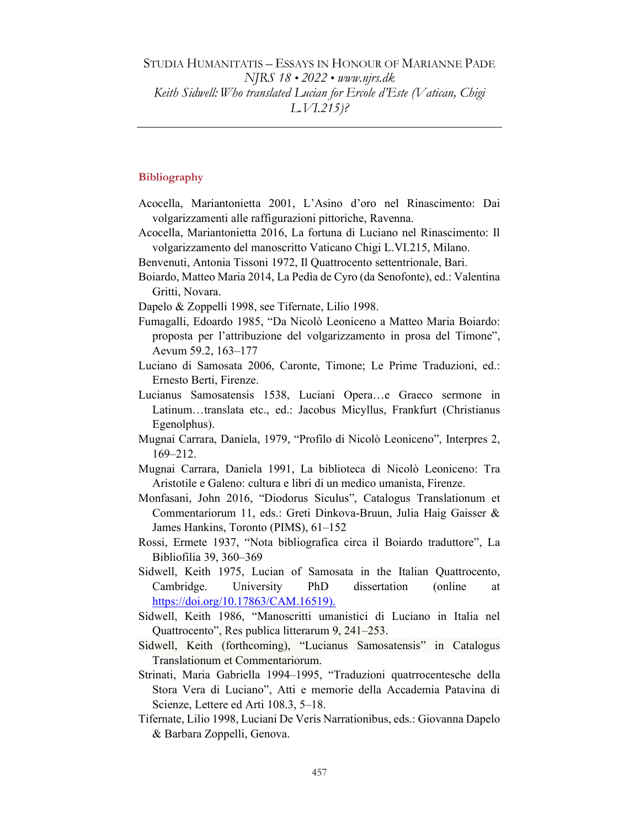### **Bibliography**

- Acocella, Mariantonietta 2001, L'Asino d'oro nel Rinascimento: Dai volgarizzamenti alle raffigurazioni pittoriche, Ravenna.
- Acocella, Mariantonietta 2016, La fortuna di Luciano nel Rinascimento: Il volgarizzamento del manoscritto Vaticano Chigi L.VI.215, Milano.
- Benvenuti, Antonia Tissoni 1972, Il Quattrocento settentrionale, Bari.
- Boiardo, Matteo Maria 2014, La Pedìa de Cyro (da Senofonte), ed.: Valentina Gritti, Novara.
- Dapelo & Zoppelli 1998, see Tifernate, Lilio 1998.
- Fumagalli, Edoardo 1985, "Da Nicolò Leoniceno a Matteo Maria Boiardo: proposta per l'attribuzione del volgarizzamento in prosa del Timone", Aevum 59.2, 163–177
- Luciano di Samosata 2006, Caronte, Timone; Le Prime Traduzioni, ed.: Ernesto Berti, Firenze.
- Lucianus Samosatensis 1538, Luciani Opera…e Graeco sermone in Latinum…translata etc., ed.: Jacobus Micyllus, Frankfurt (Christianus Egenolphus).
- Mugnai Carrara, Daniela, 1979, "Profilo di Nicolò Leoniceno", Interpres 2, 169–212.
- Mugnai Carrara, Daniela 1991, La biblioteca di Nicolò Leoniceno: Tra Aristotile e Galeno: cultura e libri di un medico umanista, Firenze.
- Monfasani, John 2016, "Diodorus Siculus", Catalogus Translationum et Commentariorum 11, eds.: Greti Dinkova-Bruun, Julia Haig Gaisser & James Hankins, Toronto (PIMS), 61–152
- Rossi, Ermete 1937, "Nota bibliografica circa il Boiardo traduttore", La Bibliofilia 39, 360–369
- Sidwell, Keith 1975, Lucian of Samosata in the Italian Quattrocento, Cambridge. University PhD dissertation (online at https://doi.org/10.17863/CAM.16519).
- Sidwell, Keith 1986, "Manoscritti umanistici di Luciano in Italia nel Quattrocento", Res publica litterarum 9, 241–253.
- Sidwell, Keith (forthcoming), "Lucianus Samosatensis" in Catalogus Translationum et Commentariorum.
- Strinati, Maria Gabriella 1994–1995, "Traduzioni quatrrocentesche della Stora Vera di Luciano", Atti e memorie della Accademia Patavina di Scienze, Lettere ed Arti 108.3, 5–18.
- Tifernate, Lilio 1998, Luciani De Veris Narrationibus, eds.: Giovanna Dapelo & Barbara Zoppelli, Genova.